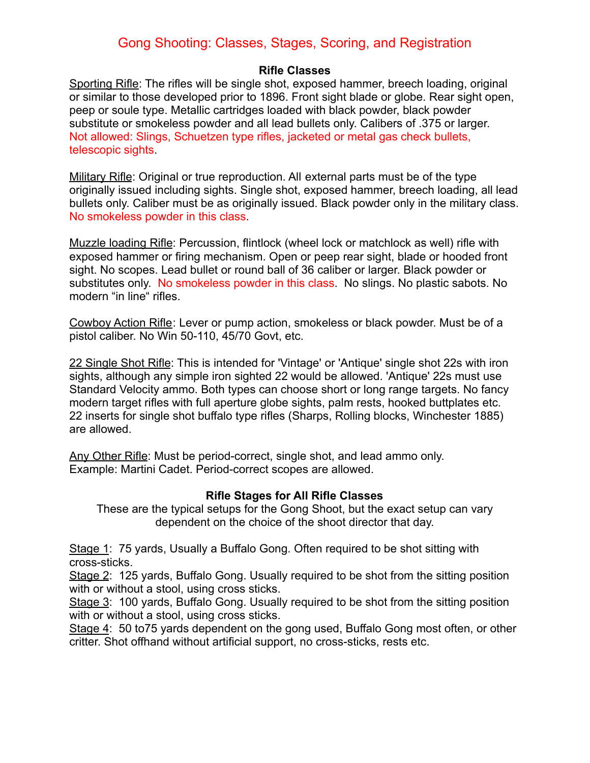# Gong Shooting: Classes, Stages, Scoring, and Registration

#### **Rifle Classes**

Sporting Rifle: The rifles will be single shot, exposed hammer, breech loading, original or similar to those developed prior to 1896. Front sight blade or globe. Rear sight open, peep or soule type. Metallic cartridges loaded with black powder, black powder substitute or smokeless powder and all lead bullets only. Calibers of .375 or larger. Not allowed: Slings, Schuetzen type rifles, jacketed or metal gas check bullets, telescopic sights.

Military Rifle: Original or true reproduction. All external parts must be of the type originally issued including sights. Single shot, exposed hammer, breech loading, all lead bullets only. Caliber must be as originally issued. Black powder only in the military class. No smokeless powder in this class.

Muzzle loading Rifle: Percussion, flintlock (wheel lock or matchlock as well) rifle with exposed hammer or firing mechanism. Open or peep rear sight, blade or hooded front sight. No scopes. Lead bullet or round ball of 36 caliber or larger. Black powder or substitutes only. No smokeless powder in this class. No slings. No plastic sabots. No modern "in line" rifles.

Cowboy Action Rifle: Lever or pump action, smokeless or black powder. Must be of a pistol caliber. No Win 50-110, 45/70 Govt, etc.

22 Single Shot Rifle: This is intended for 'Vintage' or 'Antique' single shot 22s with iron sights, although any simple iron sighted 22 would be allowed. 'Antique' 22s must use Standard Velocity ammo. Both types can choose short or long range targets. No fancy modern target rifles with full aperture globe sights, palm rests, hooked buttplates etc. 22 inserts for single shot buffalo type rifles (Sharps, Rolling blocks, Winchester 1885) are allowed.

Any Other Rifle: Must be period-correct, single shot, and lead ammo only. Example: Martini Cadet. Period-correct scopes are allowed.

# **Rifle Stages for All Rifle Classes**

These are the typical setups for the Gong Shoot, but the exact setup can vary dependent on the choice of the shoot director that day.

Stage 1: 75 yards, Usually a Buffalo Gong. Often required to be shot sitting with cross-sticks.

Stage 2: 125 yards, Buffalo Gong. Usually required to be shot from the sitting position with or without a stool, using cross sticks.

Stage 3: 100 yards, Buffalo Gong. Usually required to be shot from the sitting position with or without a stool, using cross sticks.

Stage 4: 50 to75 yards dependent on the gong used, Buffalo Gong most often, or other critter. Shot offhand without artificial support, no cross-sticks, rests etc.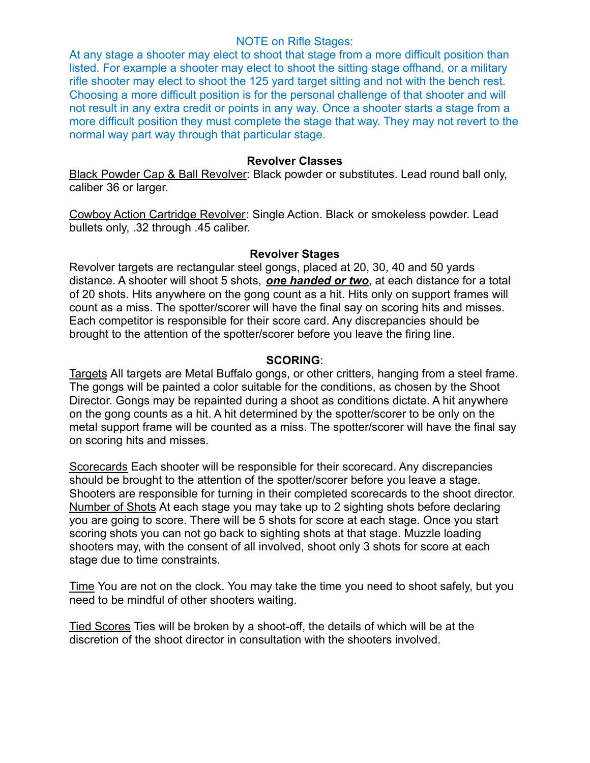#### NOTE on Rifle Stages:

At any stage a shooter may elect to shoot that stage from a more difficult position than listed. For example a shooter may elect to shoot the sitting stage offhand, or a military rifle shooter may elect to shoot the 125 yard target sitting and not with the bench rest. Choosing a more difficult position is for the personal challenge of that shooter and will not result in any extra credit or points in any way. Once a shooter starts a stage from a more difficult position they must complete the stage that way. They may not revert to the normal way part way through that particular stage.

## **Revolver Classes**

Black Powder Cap & Ball Revolver: Black powder or substitutes. Lead round ball only, caliber 36 or larger.

Cowboy Action Cartridge Revolver: Single Action. Black or smokeless powder. Lead bullets only, .32 through .45 caliber.

## **Revolver Stages**

Revolver targets are rectangular steel gongs, placed at 20, 30, 40 and 50 yards distance. A shooter will shoot 5 shots, *one handed or two*, at each distance for a total of 20 shots. Hits anywhere on the gong count as a hit. Hits only on support frames will count as a miss. The spotter/scorer will have the final say on scoring hits and misses. Each competitor is responsible for their score card. Any discrepancies should be brought to the attention of the spotter/scorer before you leave the firing line.

# **SCORING**:

Targets All targets are Metal Buffalo gongs, or other critters, hanging from a steel frame. The gongs will be painted a color suitable for the conditions, as chosen by the Shoot Director. Gongs may be repainted during a shoot as conditions dictate. A hit anywhere on the gong counts as a hit. A hit determined by the spotter/scorer to be only on the metal support frame will be counted as a miss. The spotter/scorer will have the final say on scoring hits and misses.

Scorecards Each shooter will be responsible for their scorecard. Any discrepancies should be brought to the attention of the spotter/scorer before you leave a stage. Shooters are responsible for turning in their completed scorecards to the shoot director. Number of Shots At each stage you may take up to 2 sighting shots before declaring you are going to score. There will be 5 shots for score at each stage. Once you start scoring shots you can not go back to sighting shots at that stage. Muzzle loading shooters may, with the consent of all involved, shoot only 3 shots for score at each stage due to time constraints.

Time You are not on the clock. You may take the time you need to shoot safely, but you need to be mindful of other shooters waiting.

Tied Scores Ties will be broken by a shoot-off, the details of which will be at the discretion of the shoot director in consultation with the shooters involved.